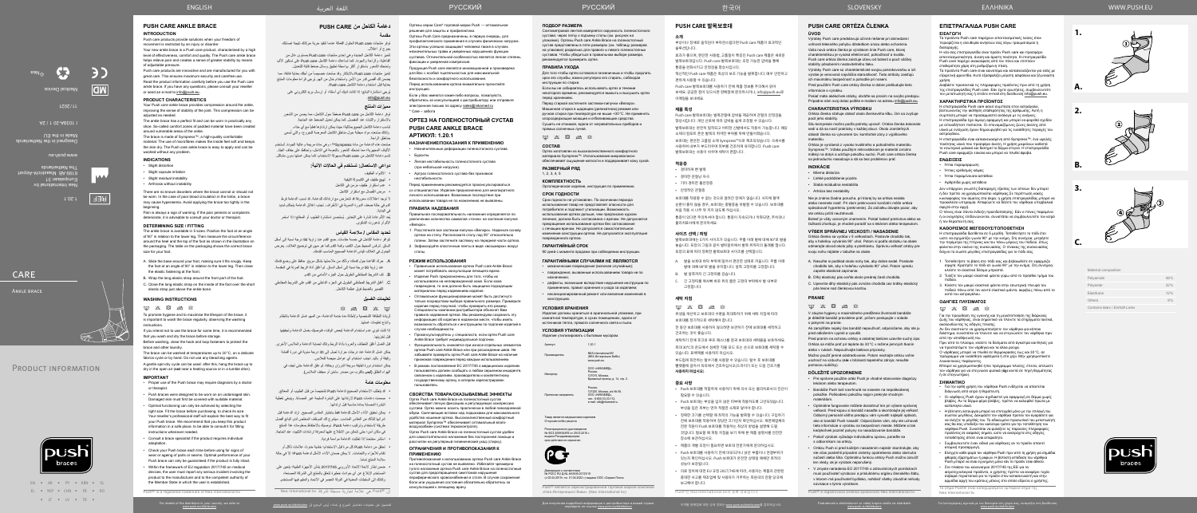EN • AR • PY • KRN • SL EL • YKP • CHN • FR • RO • IT • IV • TR •



Тамирования получения получения получения получения получения получения получения получения получения получения получения получения получения получения получения получения получения получения получения получения получени ف

الفاعلية، والراحة والجودة. كما تساعدك دعامة الكاحل Push care على تسكين الألم، وتمنحك الشعور باستقرار أكثر بواسطة تطبيق وسائل ضغط قابلة للتعديل.

Material composition

تتميز منتجات Push care بالابتكار وقد صُنعت خصيصاً من أجلك بعناية فائقة، مما يضمن لك أقصىي قدر من الأمن واستخدام خالٍ من الهم. يُرجى قراءة معلومات المنتج بعناية قبل استخدام دعامة الكاحل care Push.

| Polyamide                      | 48% |
|--------------------------------|-----|
| Polyester                      | 32% |
| Elasthane                      | 12% |
| Others                         | 8%  |
| Contains latex / Enthält Latex |     |



**1.**

**2.**

**3.**

**A.**

**B.**





**C.**

### **دعامة الكاحل من CARE PUSH مقدمة**

توفر دعامة الكاحل من Push care ضغطاً حول الكاحل، مما يحسن من الشعور باالستقرار والثبات عند المفصل. كما يمكن تعديل الضغط عند الحاجة. تناسب دعامة الكاحل الجميع بمثالية؛ حيث يمكن ارتداؤها فعلياً مع أي حذاء. ولذلك صُنعت مواد مبطنة حول مناطق الكاحل المعرضة للجروح، والتي تُسمى بمناطق الراحة.

توفر منتجات care Push الحلول الفعالة عندما تتقيد حرية حركتك نتيجة إصابتك بجرح أو اعتالل. تتميز دعامة الكاحل الجديدة وهي إحدى منتجات care Push ِ بمستوى عال من

صَنعت هذه الدعامة من مادة Sympress™، و هي مادة مريحة وعالية الجودة. تُستخدم األلياف المجهرية؛ مما تمنحك الشعور بالنعومة في الداخل، وتحافظ على جفاف الجلد. تتسم دعامة الكاحل من care Push بسهولة االستخدام، كما يمكن غسلها بدون مشاكل.

يُعد الألم عادة إشارة على التحذير. يُستحسن استشارة الطبيب أو المعالج؛ إذا استمر األلم أو تدهورت الشكوى.

ُيرجي استشارة البائع؛ إذا كانت لديك أي أسئلة، أو إرسال بريد إلكتروني على .info@push.eu

#### **مميزات المنتج**

- قبل الغسل أغلق الخطاف والعروة بأداة الربط وذلك لحماية الدعامة والملابس الأخرى.
- يمكن غسل الدعامة عند درجات حرارة تصل إلى 30 درجة مئوية في دورة أقمشة رقيقة أو باليد. تجنب استخدام أي عوامل مبيضة للمالبس.
- يمكن استخدام دورة لطيفة سريعة الدوران وجافة، ثم علق الدعامة حتى تجف في الهواء الطلق )**ليس** بالقرب من مصدر ساخن أو مجفف المالبس(.

#### **دواعي االستعمال: تستخدم في الحاالت اآلتية:**

- االلتواء الطفيف
- تهيج طفيف في الكبسولة الليفية
- عدم استقرار طفيف مزمن في الكاحل
- ُصال مع استقرار الكاحل مرض الف

ال توجد اعتالالت معروفة قد تتعارض مع ارتدائك للدعامة. قد تسبب الدعامة فرط الدم في حالة ضعف الدورة الدموية في الأطراف. تجنب إغلاق الدعامة بإحكام شديد في البداية.

- 
- قد يتطلب الاستخدام الصحيح لدعامة Push تشخيصاً من قبل الطبيب أو المعالج. صممت دعامات Push الرتدائها على البشرة السليمة غير المصابة. وينبغي تغطية
- البشرة المصابة بمادة مناسبة قبل ارتدائها. يمكن تحقيق األداء األمثل للدعامة فقط باختيار المقاس الصحيح. ارتد الدعامة قبل شرائها لتتأكد من المقاس المناسب. سيشرح لك الموظف المختص لدى البائع أفضل طريقة الستخدام وتركيب دعامة Push. نوصيك باالحتفاظ بمعلومات هذا المنتج
- في مكان آمن؛ حتى تتمكن من االطالع عليها لمعرفة إرشادات التثبيت عند الحاجة.
	- ً استشر مختصا إذا تطلبت الدعامة مواءمة فردية.
- تحقق من دعامة Push كل مرة قبل االستخدام؛ خشية حدوث عالمات تآكل أو تقادم لألجزاء واللحامات. ال يمكن ضمان األداء األمثل لدعامة Push؛ إال في حالة سلامة المنتج تماماً.
- ضمن إطار الئحة االتحاد األوروبي 2017/745 بشأن األجهزة الطبية؛ يتعين على المستخدم اإلبالغ عن أي حوادث خطيرة تتعلق بالمنتج إلى الشركة المصنعة، وكذلك إلى السلطات المعنية في الدولة العضو في االتحاد والمقيم فيها المستخدم.

#### **تحديد المقاس / مالءمة القياس**

تتوافر دعامة الكاحل في خمسة مقاسات. ضع القدم عند زاوية 90 درجة نسبة إلى أسفل الساق. ثم قس المحيط حول الكعب وقمة القدم كما هو مبين في توضيح الغالف. يعرض الجدول في الغالف قياس الدعامة الصحيح المناسب لقدمك.

> **NEΔ International BV** (НЕА Интернешнл БиВи) www.push.eu

Импортер ООО «НИКАМЕД», Россия,<br>127015, Москва,

...............<br>имажный проезд, д. 14, стр. 2 Россия,<br>127220, Москва, а/я № 58,

.<br>Говар является медицинским изделие Отпускается без рецепта

Регистрационное удостоверение № ФСЗ 2009/04876 от 29.03.2016 г. выдано Росздрав срок действия не ограни



- . حرك القاعدة حول قدمك؛ وتأكد من مالءمتها بشكل مريح. حافظ على وضع قدمك عند زاوية 90 درجة نسبة إلى أسفل الساق. ثم أغلق أداة الربط المرنة في المقدمة.
- . لف الشريط المطاطي الطويل حول الجزء األمامي من القدم.
- . أغلق الشريط المطاطي الطويل في الجزء الداخلي من القدم على الشريط المطاطي القصير بالضبط فوق عظمة الكاحل.

Декларация о соответствии<br>№ РОСС RU Д-NL.НА38.B.00133/19 (с 02.04.2019 г. по 01.04.2022 г.) выдана ООО «Сервис Плюс»

Push® является зарегистрированной торговой маркой компании «Неа Интернешнл биви» (Nea International b

Для получения подробной информации о дистрибьюторе в вашей стране<br>перейдите по ссылке <u>www.push.eu/distributors</u>

#### **تعليمات الغسيل**

 $\boxtimes$   $\boxtimes$   $\boxtimes$   $\boxtimes$   $\boxtimes$ 

لزيادة النظافة الشخصية وإلطالة مدة خدمة الدعامة، من المهم غسل الدعامة بانتظام واتباع تعليمات غسلها.

Сантиметровой лентой измеряется окружность голеностопно сустава: через пятку к подъему стопы (см. рисунок на упаковке). Ортезы Push care Ankle Brace на голеностопный сустав представлены в пяти размерах (см. таблицу размеров на упаковке) раздельно для правого и левого голеностопных суставов. Чтобы убедиться в правильном выборе размера, рекомендуется примерить ортез.

إذا كنت تنوي عدم استخدام الدعامة لبعض الوقت، فنوصيك بغسل الدعامة وتجفيفها قبل تخزينها.

#### **معلومات هامة**

إن RPush هي عالمة تجارية مسجلة لشركة bv International Nea

#### **ГАРАНТИЙНЫМИ СЛУЧАЯМИ НЕ ЯВЛЯЮТСЯ**

• механические повреждения (включая случайные); • повреждения, вызванные использованием товара не по назначению;

• дефекты, возникшие вследствие нарушения инструкции по применению, правил хранения и ухода за изделием; • несанкционированный ремонт или внесение изменений в конструкцию.

#### **УСЛОВИЯ ХРАНЕНИЯ**

Изделия должны храниться в оригинальной упаковке, при комнатной температуре, в сухих помещениях, вдали от источников тепла, прямого солнечного света и пыли.

#### **УСЛОВИЯ УТИЛИЗАЦИИ**

Изделие утилизировать с бытовым мусором.

Артикул 1.20.1

Претензии направлять

ООО «НИКАМЕД», тел.: 8-800-33-33-112, e-mail: skk@nikamed.ru.

#### **ПОДБОР РАЗМЕРА**

#### **ПРАВИЛА УХОДА**

Для того чтобы ортез оставался гигиеничным и чтобы продлить срок его службы, важно регулярно его стирать, соблюдая инструкции по стирке.

Если вы не собираетесь использовать ортез в течение некоторого времени, рекомендуется вымыть и высушить ортез перед хранением.

> $\boxtimes \hspace{0.1cm} \boxtimes \hspace{0.1cm} \boxtimes \hspace{0.1cm} \boxtimes \hspace{0.1cm} \boxtimes \hspace{0.1cm} \boxtimes \hspace{0.1cm} \boxtimes$ 위생을 개선하고 보호대의 수명을 최대화하기 위해 세탁 지침에 따라 보호대를 정기적으로 세탁해야 합니다.

Перед стиркой застегните застежки-липучки «Велкро». Машинная стирка в щадящем (деликатном) режиме или ручная стирка при температуре не выше +30°C. Не применять хлорсодержащие моющие и отбеливающие средства. Сушить не отжимая, вдали от нагревательных приборов и прямых солнечных лучей.

 $\qquad \qquad \text{or} \quad \text{and} \quad \text{for} \quad \text{for} \quad \text{for} \quad \text{for} \quad \text{for} \quad \text{for} \quad \text{for} \quad \text{for} \quad \text{for} \quad \text{for} \quad \text{for} \quad \text{for} \quad \text{for} \quad \text{for} \quad \text{for} \quad \text{for} \quad \text{for} \quad \text{for} \quad \text{for} \quad \text{for} \quad \text{for} \quad \text{for} \quad \text{for} \quad \text{for} \quad \text{for} \quad \text{for} \quad \text{for} \quad \text{for} \quad \text{for$ 

### **СОСТАВ**

Ортез изготовлен из высококачественного комфортного материала Sympress™. Использование микроволокон обеспечивает ощущение мягкости и поддерживает кожу сухой.

#### **РАЗМЕРНЫЙ РЯД**

1, 2, 3, 4, 5

#### **КОМПЛЕКТНОСТЬ**

Ортопедическое изделие, инструкция по применению.

#### **СРОК ГОДНОСТИ**

Срок годности не установлен. По окончании периода использования товар не представляет опасности для потребителя и подлежит утилизации. Возможность использования ортеза дольше, чем предписано курсом лечения, должна быть согласована с врачом. Не допускается прекращение использования ортеза без согласования с лечащим врачом. Не допускается самостоятельное изменение конструкции ортеза. Не допускается эксплуатация поврежденного ортеза.

#### **ГАРАНТИЙНЫЙ СРОК**

90 дней с момента продажи при соблюдении инструкции.

Ортезы серии Care\* торговой марки Push — оптимальное

Ортезы Push Care предназначены, в первую очередь, для профилактического применения в случаях физических нагрузок. Эти ортезы успешно защищают человека также в случаях незначительных травм и умеренных нарушениях функции суставов. Отличительной особенностью является легкая степень

фиксации и умеренная компрессия.

Продукция Push care является инновационной и произведена для Вас с особой тщательностью для максимальной безопасности и комфортного использования. Перед использованием ортеза внимательно прочитайте

ешение для защиты и профилактики

инструкцию.

Если у Вас имеются какие-либо вопросы, пожалуйста, обратитесь за консультацией к дистрибьютору или отправьте электронное письмо по адресу sales@nikamed.ru

\* Care – забота

**ОРТЕЗ НА ГОЛЕНОСТОПНЫЙ СУСТАВ** 

**PUSH CARE ANKLE BRACE** 

**АРТИКУЛ: 1.20.1**

**НАЗНАЧЕНИЕ/ПОКАЗАНИЯ К ПРИМЕНЕНИЮ** • Незначительные деформации голеностопного сустава. • Бурситы.

• Легкая нестабильность голеностопного сустава (при небольшой нагрузке).

• Артроз голеностопного сустава без признаков нестабильности.

> • Ortézu Push si pred každým nasadením najskôr skontrolujte, aby ste včas postrehli prípadné známky opotrebenia alebo starnutia súčastí alebo šitia. Optimálnu funkciu ortézy Push možno zaručiť

Перед применением рекомендуется проконсультироваться со специалистом. Изделие предназначено для многократного личного использования. Возможные последствия при использовании товара не по назначению не выявлены.

#### **ПРАВИЛА НАДЕВАНИЯ**

Правильная последовательность наложения определяется по увеличению количества символов «точек» на застежке-липучке «Велкро». 1. Расстегните все застежки-липучки «Велкро». Наденьте основу

- ортеза на стопу. Расположите стопу под 90° относительно голени. Затем застегните застежку на передней части ортеза.
- 2. Зафиксируйте эластичные ленты в виде «восьмерки» вокруг стопы.

#### **РЕЖИМ ИСПОЛЬЗОВАНИЯ**

#### ENGLISH العربية اللغة WWW.PUSH.EU SLOVENSKY

- Правильное использование ортеза Push care Ankle Brace может потребовать консультации лечащего врача.
- Изделия Push предназначены для того, чтобы их использовали на неповрежденной коже. Если кожа повреждена, то она должна быть защищена подходящим материалом перед надеванием изделия.
- Оптимальное функционирование может быть достигнуто только посредством выбора правильного размера. Примерьте изделие перед покупкой, чтобы проверить его размер. Специалисты компании-дистрибьютора объяснят Вам правила надевания ортеза. Мы рекомендуем сохранить эту информацию об изделии в надежном месте, чтобы иметь возможность обратиться к инструкциям по подгонке изделий в случае необходимости.
- Проконсультируйтесь у специалиста, если ортез Push care Ankle Brace требует индивидуальной подгонки.
- Функциональность снижается при износе отдельных элементов ортеза Push care Ankle Brace или при расхождении швов. Не забывайте проверять ортез Push care Ankle Brace на наличие признаков повреждения перед каждым использованием.
- В рамках постановления ЕС 2017/745 о медицинских изделиях пользователь должен сообщать о любом серьезном инциденте, связанном с изделием, производителю и компетентному государственному органу, в котором зарегистрирован пользователь.

οστό του αστραγάλου. **ΟΔΗΓΙΕΣ ΠΛΥΣΙΜΑΤΟΣ**  $\label{eq:3.1} \boxtimes \; \boxtimes \; \boxtimes \; \boxtimes \; \boxtimes \; \boxtimes$ 

#### **СВОЙСТВА ТОВАРА/ОКАЗЫВАЕМЫЕ ЭФФЕКТЫ** Ортез Push care Ankle Brace на голеностопный сустав

обеспечивает легкую фиксацию и регулируемую компрессию хстава. Ортез можно носить практически в любой повседневно обуви. Смягчающие вставки над лодыжками для максимального удобства ношения ортеза. Высококачественный комфортный материал Sympress™ обеспечивает оптимальный влаговоздухообмен (система термоконтроля). Ортез Push care Ankle Brace на голеностопный сустав удобен для самостоятельного наложения без посторонней помощи и рассчитан на регулярный гигиенический уход (стирку).

#### **ОГРАНИЧЕНИЯ И ПРОТИВОПОКАЗАНИЯ К ПРИМЕНЕНИЮ**

Противопоказаний к использованию ортеза Push care Ankle Brace на голеностопный сустав не выявлено. Избегайте чрезмерно тугого наложения ортеза Push care Ankle Brace на голеностопный сустав для предотвращения симптомов нарушения периферического кровоснабжения в стопе. В случае сохранения боли или ухудшения состояния обязательно обратитесь за консультацией к лечащему врачу.

Push care products provide solutions when your freedom of movement is restricted by an injury or disorder.

## **소개**

부상이나 장애로 움직임이 부자연스럽다면 Push care 제품이 효과적인 솔루션입니다.

효과가 좋으며, 편안한 사용법, 고품질이 특징인 Push care 제품은 새로운 발목보호대입니다. Push care 발목보호대는 조정 가능한 압박을 통해 통증을 완화시키고 안정감을 향상시킵니다.

혁신적인 Push care 제품은 최상의 보조 기능을 발휘합니다. 매우 안전하고 편하게 사용할 수 있습니다.

Push care 발목보호대를 사용하기 전에 제품 정보를 주의해서 읽어 보세요. 궁금한 점이 있으시면 판매점에 문의하시거나, info@push.eu로 이메일을 보내세요.

#### **제품 특성**

Push care 발목보호대는 발목관절에 압박을 제공하여 관절의 안정감을 향상시킵니다. 개인 선호에 따라 압박을 쉽게 조정할 수 있습니다.

발목보호대는 완전히 밀착되고 어떠한 신발에서도 착용이 가능합니다. 패딩 소재의 컴포트 존은 발목의 취약한 부위를 위해 만들어졌습니다. 보호대는 편안한 고품질 소재 Sympress™으로 제조되었습니다. 극세사를 사용하여 내부가 부드러우며 피부를 건조하게 유지합니다. Push care 발목보호대는 사용이 쉬우며 세탁이 편합니다.

#### **적응증**

- 경미하게 삔 발목
- 경미한 관절낭 자극
- 기타 경미한 불안정증
- 안정적인 관절증

Pain is always a sign of warning. If the pain persists or complaints deteriorate, it is advisable to consult your doctor or therapist.

보호대를 착용할 수 없는 것으로 알려진 장애가 없습니다. 사지에 혈액 순환이 좋지 않을 경우, 보호대는 충혈증을 유발할 수 있습니다. 보호대를 처음 착용 시 너무 꽉 끼지 않도록 하십시오.

통증이 있다면 주의하셔야 합니다. 통증이 지속되거나 악화되면, 주치의나 물리치료사에게 문의하세요.

#### **사이즈 선택 / 피팅**

발목보호대에는 5가지 사이즈가 있습니다. 무릎 아래 발에 대해 90°로 발을 놓습니다. 포장의 그림과 같이 발뒤꿈치에서 발목 위까지의 둘레를 잽니다. 포장의 표에 따라 정확한 발목보호대 사이즈를 선택합니다.

- A. 발을 보호대 바닥 부위에 밀어서 편안한 상태로 끼웁니다. 무릎 아래 발에 대해 90°로 발을 유지합니다. 앞쪽 고정띠를 고정합니다.
- B. 발 앞쪽까지 긴 고정띠를 감습니다.
- C. 긴 고정띠를 복사뼈 바로 위의 짧은 고정띠 부위에서 발 내부로 고정합니다.

### **세탁 지침**

If you intend not to use the brace for some time, it is recommended that you wash and dry the brace before storage.

한 동안 보호대를 사용하지 않으려면 보관하기 전에 보호대를 세척하고 건조하는 것이 좋습니다.

세탁하기 전에 후크와 루프 패스너를 잠궈 보호대와 세탁물을 보호하세요.

최대 30°C의 온도에서 섬세한 직물 모드 또는 손으로 보호대를 세탁할 수 있습니다. 표백제를 사용하지 마십시오.

부드럽게 회전하는 탈수기를 사용할 수 있습니다. 탈수 후 보호대를 빨랫줄에 걸어서 옥외에서 건조하십시오(드라이기 또는 드럼 건조기를 **사용하지 마십시오**).

#### **중요 사항**

- Push 보호대를 적합하게 사용하기 위해 의사 또는 물리치료사의 진단이 필요할 수 있습니다.
- Push 보호대는 부상을 입지 않은 피부에 착용하도록 고안되었습니다. 부상을 입은 피부는 먼저 적절한 소재로 덮어야 합니다.
- 정확한 크기를 선택할 때 최적의 기능을 발휘할 수 있습니다. 구입하기 전에 보호대를 착용하여 정당한 크기인지 확인하십시오. 재판매업체의 전문 직원이 Push 보호대를 착용하는 최상의 방법을 설명해 드릴 것입니다. 필요할 때 피팅 지침을 보기 위해 본 제품 설명서를 안전한 장소에 보관하십시오.
- 제품의 개별 조정이 필요하면 보호대 전문가에게 문의하십시오.
- Push 보호대를 사용하기 전에 마모되거나 낡은 부품이나 연결부위가 있는지 확인하십시오. Push 보호대가 온전한 상태일 때에만 최적의 성능이 보장됩니다.
- 의료 장치에 대한 EU 규정 2017/745에 따라, 사용자는 제품과 관련된 중대한 사고를 제조업체 및 사용자가 거주하는 회원국의 관할 당국에 보고해야 합니다.
- Proper use of the Push brace may require diagnosis by a doctor or therapist.
- Push braces were designed to be worn on an undamaged skin. Damaged skin must first be covered with suitable material.
- Optimal functioning can only be achieved by selecting the right size. Fit the brace before purchasing, to check its size. Your reseller's professional staff will explain the best way to fit your Push brace. We recommend that you keep this product information in a safe place, to be able to consult it for fitting instructions whenever needed.
- Consult a brace specialist if the product requires individual adaptation.
- Check your Push brace each time before using for signs of wear or ageing of parts or seams. Optimal performance of your Push brace can only be guaranteed if the product is fully intact.
- Within the framework of EU regulation 2017/745 on medical devices, the user must report any serious incident involving the product to the manufacturer and to the competent authority of the Member State in which the user is established.

Push<sup>®</sup> is a registered trademark of Nea International by

or details of the distributor in your country, we refer to

Push®는 Nea International bv의 등록 상표입니다.

한국어

### **PUSH CARE ORTÉZA ČLENKA**

#### **ÚVOD**

Výrobky Push care predstavujú účinné riešenie pri obmedzení voľnosti telesného pohybu dôsledkom úrazu alebo ochorenia. Vaša nová ortéza členka je výrobkom línie Push care, ktorej charakteristikou je vysoká efektívnosť, pohodlnosť a kvalita. Push care ortéza členka zaisťuje úľavu od bolesti a pocit väčšej stability pôsobením nastaviteľného tlaku.

Výrobky Push care sú charakteristické svojou pokrokovosťou a ich výrobe je venovaná najväčšia starostlivosť. Tieto atribúty zaisťujú ich maximálnu bezpečnosť a pohodlie pri nosení.

Pred použitím Push care ortézy členka si dobre preštudujte tieto informácie o výrobku.

Pokiaľ máte akékoľvek otázky, obráťte sa prosím na svojho predajcu. Prípadne nám svoj dotaz pošlite e-mailom na adresu info@push.eu.

#### **CHARAKTERISTIKA VÝROBKU**

Ortéza členka sťahuje oblasť okolo členkového kĺbu, čím sa zvyšuje pocit jeho stability.

Silu kompresie možno podľa potreby upraviť. Ortéza členka dokonale sedí a dá sa nosiť prakticky v každej obuvi. Okolo zraniteľných oblastí členka sú vytvorené tzv. komfortné zóny z výplňového materiálu.

Ortéza je vyrobená z vysoko kvalitného a pohodlného materiálu Sympress™. Vďaka použitým mikrovláknam je materiál zvnútra mäkký na dotyk a udržuje pokožku suchú. Push care ortéza členka sa jednoducho nasadzuje a dá sa bez problémov prať.

- **INDIKÁCIE**
- Mierna distorzia
- Ľahké podráždenie púzdra
- Slabá reziduálna nestabilita
- Artróza bez nestability

Nie je známa žiadna porucha, pri ktorej by sa ortéza nedala alebo nesmela nosiť. Pri zlom prekrvovaní končatín môže ortéza spôsobovať hyperémiu (prekrvenie). Zo začiatku dávajte pozor, aby ste ortézu príliš neuťahovali. Bolesť je vždy varovným znamením. Pokiaľ bolesť pretrváva alebo sa

ťažkosti zhoršujú, je vhodné poradiť sa s lekárom alebo terapeutom.

### **VÝBER SPRÁVNEJ VEĽKOSTI / NASADENIE**

Ortéza členka sa vyrába v 5 veľkostiach. Postavte chodidlo tak, aby s holeňou vytváralo 90° uhol. Potom si podľa obrázku na obale odmerajte obvod okolo päty a priehlavku. Správnu veľkosť ortézy pre svoju nohu nájdete v tabuľke na obale.

- A. Nasuňte si podklad okolo nohy tak, aby dobre sedel. Postavte chodidlo tak, aby s holeňou vytváralo 90° uhol. Potom vpredu zapnite elastické zapínanie.
- B. Dlhý elastický pás oviňte okolo prednej časti chodidla.
- C. Upevnite dlhý elastický pás zvnútra chodidla cez krátky elastický pás tesne nad členkovou kosťou.

#### **PRANIE**

 $\boxtimes \hspace{0.1cm} \boxtimes \hspace{0.1cm} \boxtimes \hspace{0.1cm} \boxtimes \hspace{0.1cm} \boxtimes \hspace{0.1cm} \boxtimes \hspace{0.1cm} \boxtimes \hspace{0.1cm} \boxtimes$ 

V záujme hygieny a maximálneho predĺženia životnosti bandáže je dôležité bandáž pravidelne prať, pričom postupujte v súlade s pokynmi na pranie.

Ak zamýšľate nejaký čas bandáž nepoužívať, odporúčame, aby ste ju pred odložením vyprali a vysušili.

Pred praním na ochranu ortézy a ostatnej bielizne uzavrite suchý zips. Ortéza sa môže prať pri teplote do 30°C v režime jemných tkanín

alebo v rukách. Nepoužívajte bieliace prípravky. Možno použiť jemné odstreďovanie. Potom nechajte ortézu voľne uschnúť na vzduchu (**nie** v blízkosti tepelného zdroja; nesušte pomocou sušičky).

**DÔLEŽITÉ UPOZORNENIE**

• Pre správne použitie ortéz Push je vhodné stanovenie diagnózy

lekárom alebo terapeutom.

• Bandáže Push boli navrhnuté na nosenie na nepoškodenej pokožke. Poškodenú pokožku najprv prekryte vhodným

materiálom.

• Optimálne fungovanie môžete dosiahnuť len pri výbere správnej veľkosti. Pred kúpou si bandáž nasaďte a skontrolujte jej veľkosť. Odborný personál vášho predajcu vám vysvetlí najlepší spôsob, ako si bandáž Push nasadiť. Odporúčame vám, aby ste uchovali tieto informácie o výrobku na bezpečnom mieste. Môžete si tak kedykoľvek pozrieť pokyny na nasadzovanie bandáže. • Pokiaľ výrobok vyžaduje individuálnu úpravu, poraďte sa

s odborníkom na ortézy.

len vtedy, ak je výrobok neporušený.

• V zmysle nariadenia EÚ 2017/745 o zdravotníckych pomôckach musí používateľ výrobcovi a príslušnému orgánu členského štátu, v ktorom má používateľ bydlisko, nahlásiť všetky závažné nehody

Podrobnosti o distribútorovi vo vašej krajine zistíte na stránkách<br>www.push.eu/distributors

súvisiace s týmto výrobkom.

Push® e registrovaná známka spoločnosti Nea International bv

πτομέρειες σχετικά με τον διανομέα στη χώρα σας, ανατρέξτε στη διεύθυνση του διαλικό με τον διαλικό μεταφορινό<br>Το διαλικό της διαλικό της ανακαστικής



**ΕΠΙΣΤΡΑΓΑΛΙΔΑ PUSH CARE**

**ΕΙΣΑΓΩΓΗ**

Τα προϊόντα Push care παρέχουν αποτελεσματικές λύσεις όταν περιορίζεται η ελευθερία κινήσεών σας λόγω τραυματισμού ή

διαταραχής.

Η νέα σας επιστραγαλίδα είναι προϊόν Push care και προσφέρει αποτελεσματικότητα, άνεση και άριστη ποιότητα. Η επιστραγαλίδα Push care παρέχει ανακούφιση από τον πόνο και επιπλέον

σταθερότητα χάρη στη ρυθμιζόμενη πίεση.

Τα προϊόντα Push care είναι καινοτόμα και κατασκευάζονται για εσάς με εξαιρετική φροντίδα. Αυτό εξασφαλίζει μέγιστη ασφάλεια και ξέγνοιαστη

χρήση.

Διαβάστε προσεκτικά τις πληροφορίες προϊόντος πριν από τη χρήση της επιστραγαλίδας Push care. Εάν έχετε ερωτήσεις, συμβουλευτείτε τον μεταπωλητή σας ή στείλτε e-mail στη διεύθυνση info@push.eu.

**ΧΑΡΑΚΤΗΡΙΣΤΙΚΑ ΠΡΟΪΟΝΤΟΣ**

Η επιστραγαλίδα Push care ασκεί συμπίεση στον αστράγαλο, βελτιώνοντας την αίσθηση σταθερότητας της άρθρωσης. Αυτή η συμπίεση μπορεί να προσαρμοστεί ανάλογα με τις ανάγκες. Η επιστραγαλίδα έχει άψογη εφαρμογή και μπορεί να φορεθεί σχεδόν με οποιοδήποτε παπούτσι. Οι επονομαζόμενες ζώνες άνεσης από υλικό με ενίσχυση έχουν δημιουργηθεί για τις ευαίσθητες περιοχές του

αστραγάλου.

Η επιστραγαλίδα είναι κατασκευασμένη από Sympress™, ένα υψηλής ποιότητας υλικό που προσφέρει άνεση. Η χρήση μικροϊνών καθιστά το εσωτερικό μαλακό και διατηρεί το δέρμα στεγνό. Η επιστραγαλίδα Push care εφαρμόζει εύκολα και μπορεί να πλυθεί άφοβα.

**ΕΝΔΕΙΞΕΙΣ** • Ήπια παραμόρφωση • Ήπιος ερεθισμός κάψας • Ήπια παραμένουσα αστάθεια • Αρθρίτιδα χωρίς αστάθεια

Δεν υπάρχουν γνωστές διαταραχές εξαιτίας των οποίων δεν μπορεί ή δεν πρέπει να χρησιμοποιείται νάρθηκας.Σε περίπτωση κακής κυκλοφορίας του αίματος στα άκρα, η χρήση επιστραγαλίδας μπορεί να προκαλέσει υπεραιμία. Αποφύγετε να δέσετε τον νάρθηκα υπερβολικά

σφιχτά στην αρχή.

Ο πόνος είναι πάντα ένδειξη προειδοποίησης. Εάν ο πόνος παραμένει ή οι ενοχλήσεις επιδεινώνονται, συνιστάται να συμβουλευτείτε τον ιατρό

ή τον θεραπευτή σας.

**ΚΑΘΟΡΙΣΜΟΣ ΜΕΓΕΘΟΥΣ/ΤΟΠΟΘΕΤΗΣΗ** Η επιστραγαλίδα διατίθεται σε 5 μεγέθη. Τοποθετήστε το πόδι έτσι ώστε να σχηματίζει γωνία 90° με την κνήμη. Στη συνέχεια, μετρήστε την περίμετρο της πτέρνας και του πάνω μέρους του ποδιού, όπως φαίνεται στην εικόνα της συσκευασίας. Ο πίνακας της συσκευασίας δείχνει το σωστό μέγεθος επιστραγαλίδας για το πόδι σας.

1. Τοποθετήστε τη βάση στο πόδι σας και βεβαιωθείτε ότι εφαρμόζει σφιχτά. Κρατήστε το πόδι σε γωνία 90° με την κνήμη. Στη συνέχεια,

κλείστε το ελαστικό δέσιμο μπροστά.

2. Τυλίξτε τον μακρύ ελαστικό ιμάντα γύρω από το πρόσθιο τμήμα του

ποδιού.

3. Κλείστε τον μακρύ ελαστικό ιμάντα στην εσωτερική πλευρά του ποδιού πάνω από τον κοντό ελαστικό ιμάντα, ακριβώς πάνω από το

Για την προώθηση της υγιεινής και τη μεγιστοποίηση της διάρκειας ζωής του νάρθηκας, είναι σημαντικό να πλένετε τα στηρίγματα τακτικά,

Αν δεν σκοπεύετε να χρησιμοποιήσετε τον νάρθηκα για κάποιο διάστημα, συνιστάται να πλύνετε και να στεγνώσετε τον νάρθηκα πριν

από την αποθήκευσή του.

Πριν από το πλύσιμο, κλείστε τα δεσίματα από άγκιστρα και θηλιές για

να προστατέψετε τον νάρθηκα και τα άλλα ρούχα.

Ο νάρθηκας μπορεί να πλυθεί σε θερμοκρασίες έως και 30°C, σε πρόγραμμα για ευαίσθητα υφάσματα ή στο χέρι. Μην χρησιμοποιείτε

λευκαντικούς παράγοντες.

Μπορεί να χρησιμοποιηθεί ήπιο πρόγραμμα πλύσης: έπειτα, απλώστε τον νάρθηκα για να στεγνώσει φυσικά (**όχι** κοντά σε πηγή θερμότητας

ή σε στεγνωτήριο). **ΣΗΜΑΝΤΙΚΟ**

• Για την ορθή χρήση του νάρθηκα Push ενδέχεται να απαιτείται

διάγνωση από ιατρό ή θεραπευτή.

τοποθέτησης όποτε είναι απαραίτη

• Οι νάρθηκες Push έχουν σχεδιαστεί για εφαρμογή σε δέρμα χωρίς βλάβες. Αν το δέρμα φέρει βλάβες, πρέπει να καλυφθεί πρώτα με

κατάλληλο υλικό.

.<br>ακολουθώντας τις οδηγίες πλύσης.

• Η βέλτιστη λειτουργία μπορεί να επιτευχθεί μόνο με την επιλογή του σωστού μεγέθους. Δοκιμάστε τον νάρθηκα προτού τον αγοράσετε για να ελέγξτε το μέγεθός του. Το ειδικευμένο προσωπικό του μεταπωλητή σας θα σας υποδείξει τον καλύτερο τρόπο για την τοποθέτηση του νάρθηκα Push. Συνιστάται να φυλάξετε τις παρούσες πληροφορίες προϊόντος σε ασφαλές σημείο, ώστε να ανατρέχετε στις οδηγίες

• Συμβουλευτείτε έναν ειδικό για νάρθηκες αν το προϊόν απαιτεί

ατομική προσαρμογή.

• Ελέγχετε κάθε φορά τον νάρθηκα Push πριν από τη χρήση για σημάδια φθοράς εξαρτημάτων ή ραφών. Η βέλτιστη απόδοση του νάρθι Push μπορεί να είναι εγγυημένη μόνο εάν το προϊόν είναι άθικτο. • Στο πλαίσιο του κανονισμού 2017/745 της ΕΕ για τα ιατροτεχνολογικά προϊόντα, ο χρήστης πρέπει να αναφέρει τυχόν σοβαρά περιστατικά για το προϊόν στον κατασκευαστή και στη αρμόδια αρχή του κράτους μέλους στο οποίο εδρεύει ο χρήστης. Το σήμα Push® είναι καταχωρισμένο εμπορικό σήμα της

Nea International bv

ΕΛΛΗΝΙΚΆ

1.20.1

Nea International bv Europalaan 31

6199 AB Maastricht-Airport

The Netherlands

Made in the EU

Designed in the Netherlands

I 1039A-20 1 / 2A

2021 / 11

**AD** 

**REF** 

marusnd: www

Medical Device

©Nea

## PRODUCT INFORMATION

CARE

ANKIF BRACE

# **PUSH CARE ANKLE BRACE**

#### **INTRODUCTION**

Your new ankle brace is a Push care product, characterised by a high level of effectiveness, comfort and quality. The Push care ankle brace helps relieve pain and creates a sense of greater stability by means of adjustable pressure.

Push care products are innovative and are manufactured for you with great care. This ensures maximum security and carefree use. Read the product information carefully before you use the Push care ankle brace. If you have any questions, please consult your reseller or send an e-mail to info@push.eu.

#### **PRODUCT CHARACTERISTICS**

Your Push care ankle brace provides compression around the ankle, improving the sense of stability of the joint. This compression can be adjusted as needed.

The ankle brace has a perfect fit and can be worn in practically any shoe. So-called comfort zones of padded material have been created around vulnerable areas of the ankle.

The brace is made of Sympress™, a high-quality comfortable material. The use of microfibres makes the inside feel soft and keeps the skin dry. The Push care ankle brace is easy to apply and can be washed without any problem.

**INDICATIONS** • Slight distortion

- Slight capsule irritation
- Slight residual instability
- Arthrosis without instability
- 

There are no known disorders where the brace cannot or should not be worn. In the case of poor blood circulation in the limbs, a brace may cause hyperaemia. Avoid applying the brace too tightly in the beginning.

#### **DETERMINING SIZE / FITTING**

The ankle brace is available in 5 sizes. Position the foot at an angle of 90° in relation to the lower leg. Then measure the circumference around the heel and the top of the foot as shown in the illustration on the packaging. The table on the packaging shows the correct brace size for your foot.

- A. Slide the base around your foot, making sure it fits snugly. Keep the foot at an angle of 90° in relation to the lower leg. Then close the elastic fastening at the front.
- B. Wrap the long elastic strap around the front part of the foot.
- C. Close the long elastic strap on the inside of the foot over the short elastic strap just above the ankle bone.

#### **WASHING INSTRUCTIONS**

#### $\boxtimes \hspace{0.1cm} \boxtimes \hspace{0.1cm} \boxtimes \hspace{0.1cm} \boxtimes \hspace{0.1cm} \boxtimes \hspace{0.1cm} \boxtimes \hspace{0.1cm} \boxtimes$

To promote hygiene and to maximise the lifespan of the brace, it is important to wash the brace regularly, observing the washing instructions.

Before washing, close the hook and loop fasteners to protect the brace and other laundry.

The brace can be washed at temperatures up to 30°C, on a delicate fabrics cycle or by hand. Do not use any bleaching agents.

A gentle spin-dry cycle can be used: after this, hang the brace up to dry in the open air (**not** near a heating source or in a tumble drier).

#### **IMPORTANT**